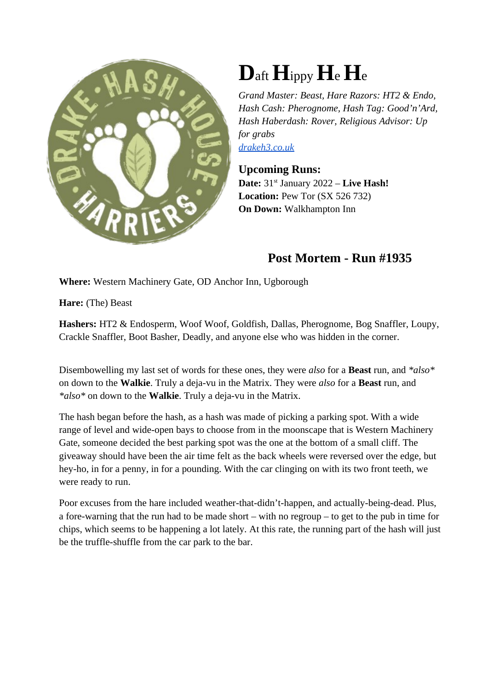

## **D**aft**H**ippy **H**e **H**<sup>e</sup>

*Grand Master: Beast, Hare Razors: HT2 & Endo, Hash Cash: Pherognome, Hash Tag: Good'n'Ard, Hash Haberdash: Rover, Religious Advisor: Up for grabs drakeh3.co.uk*

**Upcoming Runs: Date:**  $31^{st}$  January 2022 – **Live Hash! Location:** Pew Tor (SX 526 732) **On Down:** Walkhampton Inn

## **Post Mortem - Run #1935**

**Where:** Western Machinery Gate, OD Anchor Inn, Ugborough

**Hare:** (The) Beast

**Hashers:** HT2 & Endosperm, Woof Woof, Goldfish, Dallas, Pherognome, Bog Snaffler, Loupy, Crackle Snaffler, Boot Basher, Deadly, and anyone else who was hidden in the corner.

Disembowelling my last set of words for these ones, they were *also* for a **Beast** run, and *\*also\** on down to the **Walkie**. Truly a deja-vu in the Matrix. They were *also* for a **Beast** run, and *\*also\** on down to the **Walkie**. Truly a deja-vu in the Matrix.

The hash began before the hash, as a hash was made of picking a parking spot. With a wide range of level and wide-open bays to choose from in the moonscape that is Western Machinery Gate, someone decided the best parking spot was the one at the bottom of a small cliff. The giveaway should have been the air time felt as the back wheels were reversed over the edge, but hey-ho, in for a penny, in for a pounding. With the car clinging on with its two front teeth, we were ready to run.

Poor excuses from the hare included weather-that-didn't-happen, and actually-being-dead. Plus, a fore-warning that the run had to be made short – with no regroup – to get to the pub in time for chips, which seems to be happening a lot lately. At this rate, the running part of the hash will just be the truffle-shuffle from the car park to the bar.